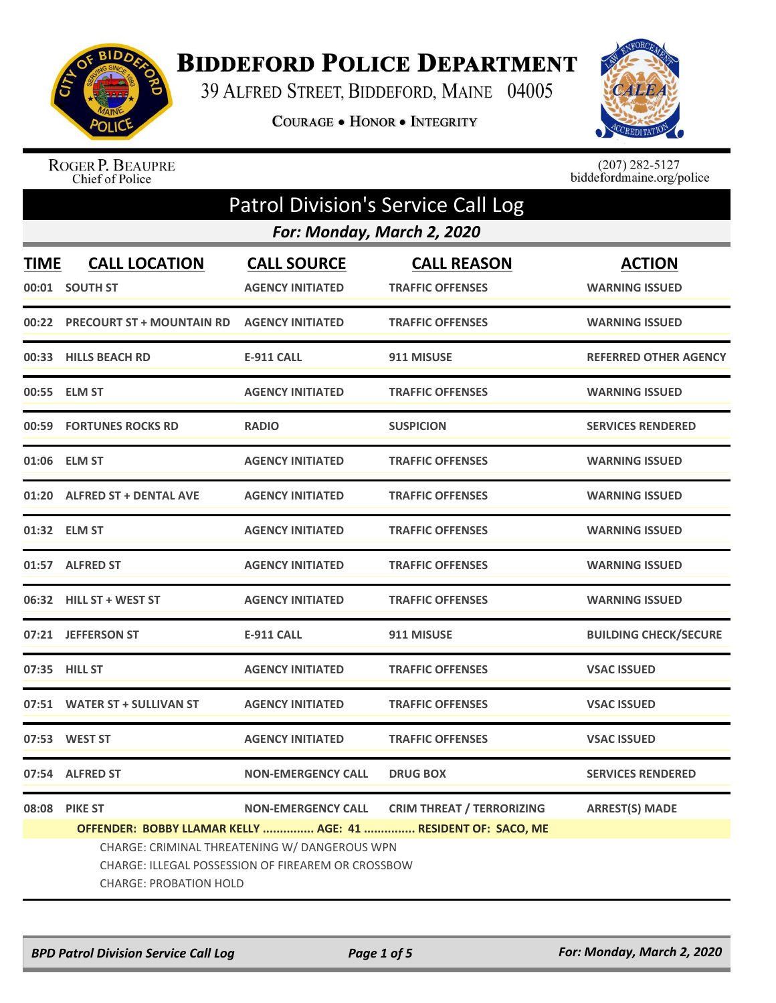

## **BIDDEFORD POLICE DEPARTMENT**

39 ALFRED STREET, BIDDEFORD, MAINE 04005

COURAGE . HONOR . INTEGRITY



ROGER P. BEAUPRE<br>Chief of Police

 $(207)$  282-5127<br>biddefordmaine.org/police

| <b>Patrol Division's Service Call Log</b>                    |                                                                                                                                      |                                               |                                               |                                        |  |
|--------------------------------------------------------------|--------------------------------------------------------------------------------------------------------------------------------------|-----------------------------------------------|-----------------------------------------------|----------------------------------------|--|
|                                                              | For: Monday, March 2, 2020                                                                                                           |                                               |                                               |                                        |  |
| <b>TIME</b><br>00:01                                         | <b>CALL LOCATION</b><br><b>SOUTH ST</b>                                                                                              | <b>CALL SOURCE</b><br><b>AGENCY INITIATED</b> | <b>CALL REASON</b><br><b>TRAFFIC OFFENSES</b> | <b>ACTION</b><br><b>WARNING ISSUED</b> |  |
| 00:22                                                        | <b>PRECOURT ST + MOUNTAIN RD</b>                                                                                                     | <b>AGENCY INITIATED</b>                       | <b>TRAFFIC OFFENSES</b>                       | <b>WARNING ISSUED</b>                  |  |
| 00:33                                                        | <b>HILLS BEACH RD</b>                                                                                                                | <b>E-911 CALL</b>                             | 911 MISUSE                                    | <b>REFERRED OTHER AGENCY</b>           |  |
| 00:55                                                        | <b>ELM ST</b>                                                                                                                        | <b>AGENCY INITIATED</b>                       | <b>TRAFFIC OFFENSES</b>                       | <b>WARNING ISSUED</b>                  |  |
|                                                              | 00:59 FORTUNES ROCKS RD                                                                                                              | <b>RADIO</b>                                  | <b>SUSPICION</b>                              | <b>SERVICES RENDERED</b>               |  |
|                                                              | 01:06 ELM ST                                                                                                                         | <b>AGENCY INITIATED</b>                       | <b>TRAFFIC OFFENSES</b>                       | <b>WARNING ISSUED</b>                  |  |
|                                                              | 01:20 ALFRED ST + DENTAL AVE                                                                                                         | <b>AGENCY INITIATED</b>                       | <b>TRAFFIC OFFENSES</b>                       | <b>WARNING ISSUED</b>                  |  |
| 01:32                                                        | <b>ELM ST</b>                                                                                                                        | <b>AGENCY INITIATED</b>                       | <b>TRAFFIC OFFENSES</b>                       | <b>WARNING ISSUED</b>                  |  |
|                                                              | 01:57 ALFRED ST                                                                                                                      | <b>AGENCY INITIATED</b>                       | <b>TRAFFIC OFFENSES</b>                       | <b>WARNING ISSUED</b>                  |  |
|                                                              | 06:32 HILL ST + WEST ST                                                                                                              | <b>AGENCY INITIATED</b>                       | <b>TRAFFIC OFFENSES</b>                       | <b>WARNING ISSUED</b>                  |  |
| 07:21                                                        | <b>JEFFERSON ST</b>                                                                                                                  | <b>E-911 CALL</b>                             | 911 MISUSE                                    | <b>BUILDING CHECK/SECURE</b>           |  |
|                                                              | 07:35 HILL ST                                                                                                                        | <b>AGENCY INITIATED</b>                       | <b>TRAFFIC OFFENSES</b>                       | <b>VSAC ISSUED</b>                     |  |
|                                                              | 07:51 WATER ST + SULLIVAN ST                                                                                                         | <b>AGENCY INITIATED</b>                       | <b>TRAFFIC OFFENSES</b>                       | <b>VSAC ISSUED</b>                     |  |
|                                                              | 07:53 WEST ST                                                                                                                        | <b>AGENCY INITIATED</b>                       | <b>TRAFFIC OFFENSES</b>                       | <b>VSAC ISSUED</b>                     |  |
| 07:54                                                        | <b>ALFRED ST</b>                                                                                                                     | <b>NON-EMERGENCY CALL</b>                     | <b>DRUG BOX</b>                               | <b>SERVICES RENDERED</b>               |  |
| 08:08                                                        | <b>PIKE ST</b>                                                                                                                       | <b>NON-EMERGENCY CALL</b>                     | <b>CRIM THREAT / TERRORIZING</b>              | <b>ARREST(S) MADE</b>                  |  |
| OFFENDER: BOBBY LLAMAR KELLY  AGE: 41  RESIDENT OF: SACO, ME |                                                                                                                                      |                                               |                                               |                                        |  |
|                                                              | CHARGE: CRIMINAL THREATENING W/ DANGEROUS WPN<br>CHARGE: ILLEGAL POSSESSION OF FIREAREM OR CROSSBOW<br><b>CHARGE: PROBATION HOLD</b> |                                               |                                               |                                        |  |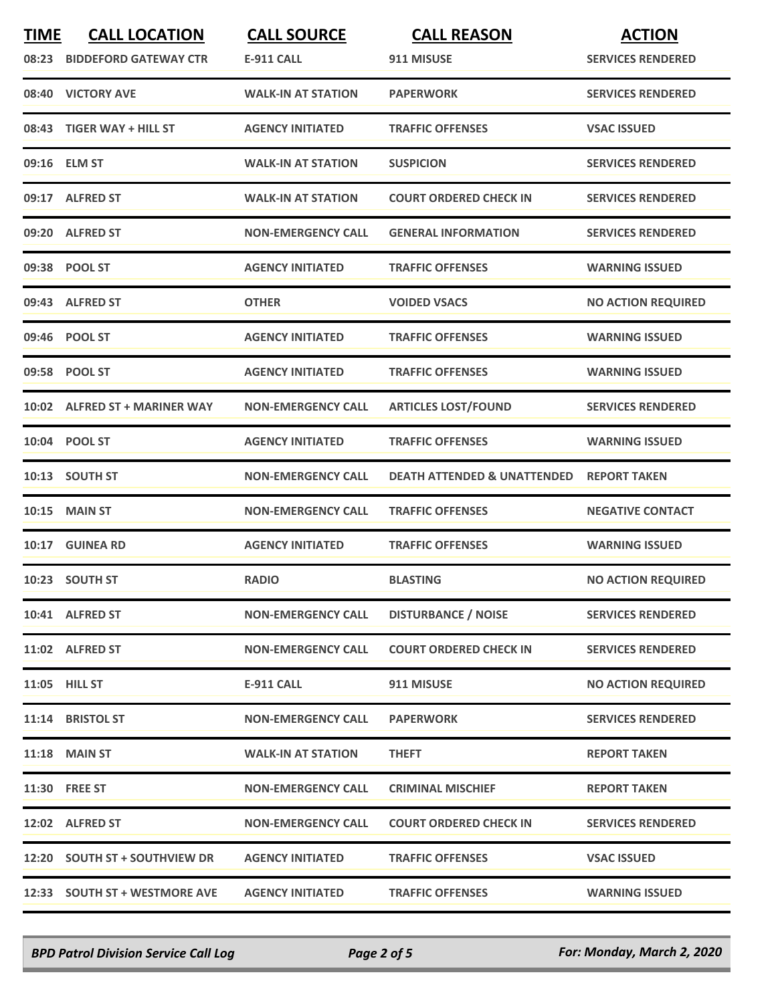| <b>TIME</b> | <b>CALL LOCATION</b><br>08:23 BIDDEFORD GATEWAY CTR | <b>CALL SOURCE</b><br><b>E-911 CALL</b> | <b>CALL REASON</b><br>911 MISUSE       | <b>ACTION</b><br><b>SERVICES RENDERED</b> |
|-------------|-----------------------------------------------------|-----------------------------------------|----------------------------------------|-------------------------------------------|
|             | 08:40 VICTORY AVE                                   | <b>WALK-IN AT STATION</b>               | <b>PAPERWORK</b>                       | <b>SERVICES RENDERED</b>                  |
|             | 08:43 TIGER WAY + HILL ST                           | <b>AGENCY INITIATED</b>                 | <b>TRAFFIC OFFENSES</b>                | <b>VSAC ISSUED</b>                        |
|             | 09:16 ELM ST                                        | <b>WALK-IN AT STATION</b>               | <b>SUSPICION</b>                       | <b>SERVICES RENDERED</b>                  |
|             | 09:17 ALFRED ST                                     | <b>WALK-IN AT STATION</b>               | <b>COURT ORDERED CHECK IN</b>          | <b>SERVICES RENDERED</b>                  |
|             | 09:20 ALFRED ST                                     | <b>NON-EMERGENCY CALL</b>               | <b>GENERAL INFORMATION</b>             | <b>SERVICES RENDERED</b>                  |
|             | 09:38 POOL ST                                       | <b>AGENCY INITIATED</b>                 | <b>TRAFFIC OFFENSES</b>                | <b>WARNING ISSUED</b>                     |
|             | 09:43 ALFRED ST                                     | <b>OTHER</b>                            | <b>VOIDED VSACS</b>                    | <b>NO ACTION REQUIRED</b>                 |
|             | 09:46 POOL ST                                       | <b>AGENCY INITIATED</b>                 | <b>TRAFFIC OFFENSES</b>                | <b>WARNING ISSUED</b>                     |
|             | 09:58 POOL ST                                       | <b>AGENCY INITIATED</b>                 | <b>TRAFFIC OFFENSES</b>                | <b>WARNING ISSUED</b>                     |
|             | 10:02 ALFRED ST + MARINER WAY                       | <b>NON-EMERGENCY CALL</b>               | <b>ARTICLES LOST/FOUND</b>             | <b>SERVICES RENDERED</b>                  |
|             | 10:04 POOL ST                                       | <b>AGENCY INITIATED</b>                 | <b>TRAFFIC OFFENSES</b>                | <b>WARNING ISSUED</b>                     |
|             | 10:13 SOUTH ST                                      | <b>NON-EMERGENCY CALL</b>               | <b>DEATH ATTENDED &amp; UNATTENDED</b> | <b>REPORT TAKEN</b>                       |
|             | <b>10:15 MAIN ST</b>                                | <b>NON-EMERGENCY CALL</b>               | <b>TRAFFIC OFFENSES</b>                | <b>NEGATIVE CONTACT</b>                   |
|             | 10:17 GUINEA RD                                     | <b>AGENCY INITIATED</b>                 | <b>TRAFFIC OFFENSES</b>                | <b>WARNING ISSUED</b>                     |
|             | 10:23 SOUTH ST                                      | <b>RADIO</b>                            | <b>BLASTING</b>                        | <b>NO ACTION REQUIRED</b>                 |
|             | 10:41 ALFRED ST                                     | <b>NON-EMERGENCY CALL</b>               | <b>DISTURBANCE / NOISE</b>             | <b>SERVICES RENDERED</b>                  |
|             | 11:02 ALFRED ST                                     | <b>NON-EMERGENCY CALL</b>               | <b>COURT ORDERED CHECK IN</b>          | <b>SERVICES RENDERED</b>                  |
|             | 11:05 HILL ST                                       | <b>E-911 CALL</b>                       | 911 MISUSE                             | <b>NO ACTION REQUIRED</b>                 |
|             | 11:14 BRISTOL ST                                    | <b>NON-EMERGENCY CALL</b>               | <b>PAPERWORK</b>                       | <b>SERVICES RENDERED</b>                  |
|             | <b>11:18 MAIN ST</b>                                | <b>WALK-IN AT STATION</b>               | <b>THEFT</b>                           | <b>REPORT TAKEN</b>                       |
|             | 11:30 FREE ST                                       | <b>NON-EMERGENCY CALL</b>               | <b>CRIMINAL MISCHIEF</b>               | <b>REPORT TAKEN</b>                       |
|             | 12:02 ALFRED ST                                     | <b>NON-EMERGENCY CALL</b>               | <b>COURT ORDERED CHECK IN</b>          | <b>SERVICES RENDERED</b>                  |
|             | 12:20 SOUTH ST + SOUTHVIEW DR                       | <b>AGENCY INITIATED</b>                 | <b>TRAFFIC OFFENSES</b>                | <b>VSAC ISSUED</b>                        |
|             | 12:33 SOUTH ST + WESTMORE AVE                       | <b>AGENCY INITIATED</b>                 | <b>TRAFFIC OFFENSES</b>                | <b>WARNING ISSUED</b>                     |

*BPD Patrol Division Service Call Log Page 2 of 5 For: Monday, March 2, 2020*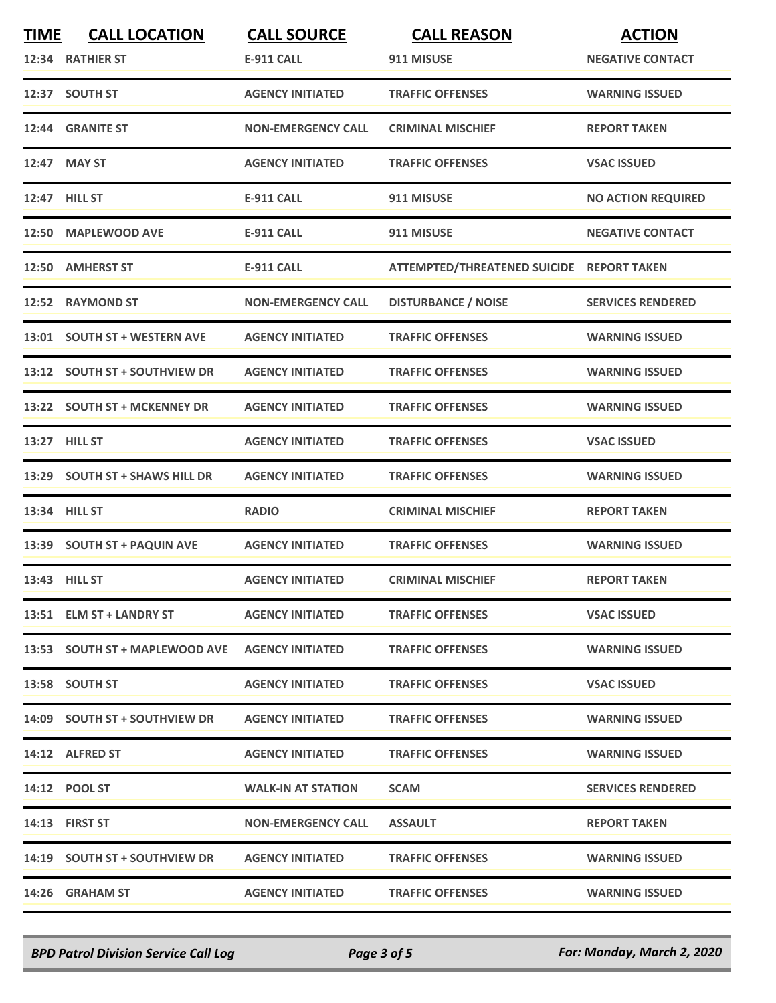| <b>TIME</b> | <b>CALL LOCATION</b><br>12:34 RATHIER ST        | <b>CALL SOURCE</b><br><b>E-911 CALL</b> | <b>CALL REASON</b><br>911 MISUSE          | <b>ACTION</b><br><b>NEGATIVE CONTACT</b> |
|-------------|-------------------------------------------------|-----------------------------------------|-------------------------------------------|------------------------------------------|
|             | 12:37 SOUTH ST                                  | <b>AGENCY INITIATED</b>                 | <b>TRAFFIC OFFENSES</b>                   | <b>WARNING ISSUED</b>                    |
|             | 12:44 GRANITE ST                                | <b>NON-EMERGENCY CALL</b>               | <b>CRIMINAL MISCHIEF</b>                  | <b>REPORT TAKEN</b>                      |
|             | 12:47 MAY ST                                    | <b>AGENCY INITIATED</b>                 | <b>TRAFFIC OFFENSES</b>                   | <b>VSAC ISSUED</b>                       |
|             | 12:47 HILL ST                                   | <b>E-911 CALL</b>                       | 911 MISUSE                                | <b>NO ACTION REQUIRED</b>                |
|             | 12:50 MAPLEWOOD AVE                             | <b>E-911 CALL</b>                       | 911 MISUSE                                | <b>NEGATIVE CONTACT</b>                  |
|             | 12:50 AMHERST ST                                | <b>E-911 CALL</b>                       | ATTEMPTED/THREATENED SUICIDE REPORT TAKEN |                                          |
|             | 12:52 RAYMOND ST                                | <b>NON-EMERGENCY CALL</b>               | <b>DISTURBANCE / NOISE</b>                | <b>SERVICES RENDERED</b>                 |
|             | 13:01 SOUTH ST + WESTERN AVE                    | <b>AGENCY INITIATED</b>                 | <b>TRAFFIC OFFENSES</b>                   | <b>WARNING ISSUED</b>                    |
|             | 13:12 SOUTH ST + SOUTHVIEW DR                   | <b>AGENCY INITIATED</b>                 | <b>TRAFFIC OFFENSES</b>                   | <b>WARNING ISSUED</b>                    |
|             | 13:22 SOUTH ST + MCKENNEY DR                    | <b>AGENCY INITIATED</b>                 | <b>TRAFFIC OFFENSES</b>                   | <b>WARNING ISSUED</b>                    |
|             | 13:27 HILL ST                                   | <b>AGENCY INITIATED</b>                 | <b>TRAFFIC OFFENSES</b>                   | <b>VSAC ISSUED</b>                       |
|             | 13:29 SOUTH ST + SHAWS HILL DR                  | <b>AGENCY INITIATED</b>                 | <b>TRAFFIC OFFENSES</b>                   | <b>WARNING ISSUED</b>                    |
|             | 13:34 HILL ST                                   | <b>RADIO</b>                            | <b>CRIMINAL MISCHIEF</b>                  | <b>REPORT TAKEN</b>                      |
|             | 13:39 SOUTH ST + PAQUIN AVE                     | <b>AGENCY INITIATED</b>                 | <b>TRAFFIC OFFENSES</b>                   | <b>WARNING ISSUED</b>                    |
|             | 13:43 HILL ST                                   | <b>AGENCY INITIATED</b>                 | <b>CRIMINAL MISCHIEF</b>                  | <b>REPORT TAKEN</b>                      |
|             | 13:51 ELM ST + LANDRY ST                        | <b>AGENCY INITIATED</b>                 | <b>TRAFFIC OFFENSES</b>                   | <b>VSAC ISSUED</b>                       |
|             | 13:53 SOUTH ST + MAPLEWOOD AVE AGENCY INITIATED |                                         | <b>TRAFFIC OFFENSES</b>                   | <b>WARNING ISSUED</b>                    |
|             | 13:58 SOUTH ST                                  | <b>AGENCY INITIATED</b>                 | <b>TRAFFIC OFFENSES</b>                   | <b>VSAC ISSUED</b>                       |
|             | 14:09 SOUTH ST + SOUTHVIEW DR                   | <b>AGENCY INITIATED</b>                 | <b>TRAFFIC OFFENSES</b>                   | <b>WARNING ISSUED</b>                    |
|             | 14:12 ALFRED ST                                 | <b>AGENCY INITIATED</b>                 | <b>TRAFFIC OFFENSES</b>                   | <b>WARNING ISSUED</b>                    |
|             | 14:12 POOL ST                                   | <b>WALK-IN AT STATION</b>               | <b>SCAM</b>                               | <b>SERVICES RENDERED</b>                 |
|             | 14:13 FIRST ST                                  | <b>NON-EMERGENCY CALL</b>               | <b>ASSAULT</b>                            | <b>REPORT TAKEN</b>                      |
|             | 14:19 SOUTH ST + SOUTHVIEW DR                   | <b>AGENCY INITIATED</b>                 | <b>TRAFFIC OFFENSES</b>                   | <b>WARNING ISSUED</b>                    |
|             | 14:26 GRAHAM ST                                 | <b>AGENCY INITIATED</b>                 | <b>TRAFFIC OFFENSES</b>                   | <b>WARNING ISSUED</b>                    |

*BPD Patrol Division Service Call Log Page 3 of 5 For: Monday, March 2, 2020*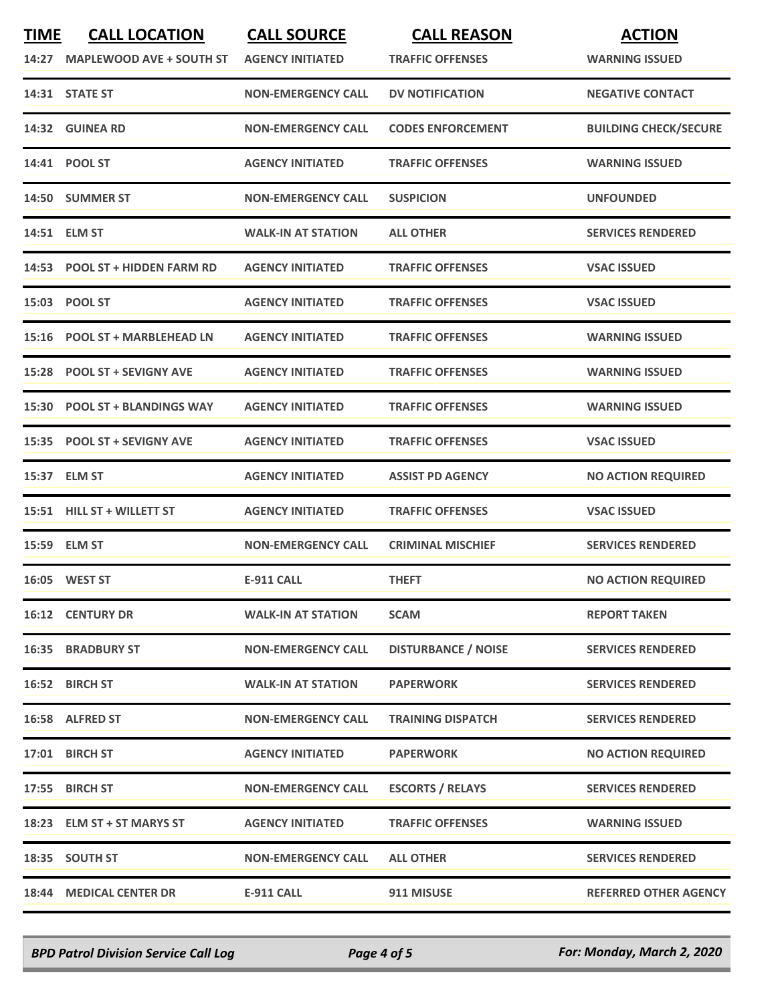| <b>TIME</b><br>14:27 | <b>CALL LOCATION</b><br><b>MAPLEWOOD AVE + SOUTH ST</b> | <b>CALL SOURCE</b><br><b>AGENCY INITIATED</b> | <b>CALL REASON</b><br><b>TRAFFIC OFFENSES</b> | <b>ACTION</b><br><b>WARNING ISSUED</b> |
|----------------------|---------------------------------------------------------|-----------------------------------------------|-----------------------------------------------|----------------------------------------|
|                      | 14:31 STATE ST                                          | <b>NON-EMERGENCY CALL</b>                     | <b>DV NOTIFICATION</b>                        | <b>NEGATIVE CONTACT</b>                |
|                      | 14:32 GUINEA RD                                         | <b>NON-EMERGENCY CALL</b>                     | <b>CODES ENFORCEMENT</b>                      | <b>BUILDING CHECK/SECURE</b>           |
|                      | 14:41 POOL ST                                           | <b>AGENCY INITIATED</b>                       | <b>TRAFFIC OFFENSES</b>                       | <b>WARNING ISSUED</b>                  |
|                      | 14:50 SUMMER ST                                         | <b>NON-EMERGENCY CALL</b>                     | <b>SUSPICION</b>                              | <b>UNFOUNDED</b>                       |
|                      | 14:51 ELM ST                                            | <b>WALK-IN AT STATION</b>                     | <b>ALL OTHER</b>                              | <b>SERVICES RENDERED</b>               |
|                      | 14:53 POOL ST + HIDDEN FARM RD                          | <b>AGENCY INITIATED</b>                       | <b>TRAFFIC OFFENSES</b>                       | <b>VSAC ISSUED</b>                     |
|                      | 15:03 POOL ST                                           | <b>AGENCY INITIATED</b>                       | <b>TRAFFIC OFFENSES</b>                       | <b>VSAC ISSUED</b>                     |
|                      | 15:16 POOL ST + MARBLEHEAD LN                           | <b>AGENCY INITIATED</b>                       | <b>TRAFFIC OFFENSES</b>                       | <b>WARNING ISSUED</b>                  |
|                      | 15:28 POOL ST + SEVIGNY AVE                             | <b>AGENCY INITIATED</b>                       | <b>TRAFFIC OFFENSES</b>                       | <b>WARNING ISSUED</b>                  |
|                      | 15:30 POOL ST + BLANDINGS WAY                           | <b>AGENCY INITIATED</b>                       | <b>TRAFFIC OFFENSES</b>                       | <b>WARNING ISSUED</b>                  |
|                      | 15:35 POOL ST + SEVIGNY AVE                             | <b>AGENCY INITIATED</b>                       | <b>TRAFFIC OFFENSES</b>                       | <b>VSAC ISSUED</b>                     |
|                      | 15:37 ELM ST                                            | <b>AGENCY INITIATED</b>                       | <b>ASSIST PD AGENCY</b>                       | <b>NO ACTION REQUIRED</b>              |
|                      | 15:51 HILL ST + WILLETT ST                              | <b>AGENCY INITIATED</b>                       | <b>TRAFFIC OFFENSES</b>                       | <b>VSAC ISSUED</b>                     |
|                      | 15:59 ELM ST                                            | <b>NON-EMERGENCY CALL</b>                     | <b>CRIMINAL MISCHIEF</b>                      | <b>SERVICES RENDERED</b>               |
|                      | 16:05 WEST ST                                           | <b>E-911 CALL</b>                             | <b>THEFT</b>                                  | <b>NO ACTION REQUIRED</b>              |
|                      | <b>16:12 CENTURY DR</b>                                 | <b>WALK-IN AT STATION</b>                     | <b>SCAM</b>                                   | <b>REPORT TAKEN</b>                    |
|                      | <b>16:35 BRADBURY ST</b>                                | <b>NON-EMERGENCY CALL</b>                     | <b>DISTURBANCE / NOISE</b>                    | <b>SERVICES RENDERED</b>               |
|                      | 16:52 BIRCH ST                                          | <b>WALK-IN AT STATION</b>                     | <b>PAPERWORK</b>                              | <b>SERVICES RENDERED</b>               |
|                      | 16:58 ALFRED ST                                         | <b>NON-EMERGENCY CALL</b>                     | <b>TRAINING DISPATCH</b>                      | <b>SERVICES RENDERED</b>               |
|                      | 17:01 BIRCH ST                                          | <b>AGENCY INITIATED</b>                       | <b>PAPERWORK</b>                              | <b>NO ACTION REQUIRED</b>              |
|                      | 17:55 BIRCH ST                                          | <b>NON-EMERGENCY CALL</b>                     | <b>ESCORTS / RELAYS</b>                       | <b>SERVICES RENDERED</b>               |
|                      | 18:23 ELM ST + ST MARYS ST                              | <b>AGENCY INITIATED</b>                       | <b>TRAFFIC OFFENSES</b>                       | <b>WARNING ISSUED</b>                  |
|                      | 18:35 SOUTH ST                                          | <b>NON-EMERGENCY CALL</b>                     | <b>ALL OTHER</b>                              | <b>SERVICES RENDERED</b>               |
|                      | 18:44 MEDICAL CENTER DR                                 | <b>E-911 CALL</b>                             | 911 MISUSE                                    | <b>REFERRED OTHER AGENCY</b>           |

*BPD Patrol Division Service Call Log Page 4 of 5 For: Monday, March 2, 2020*